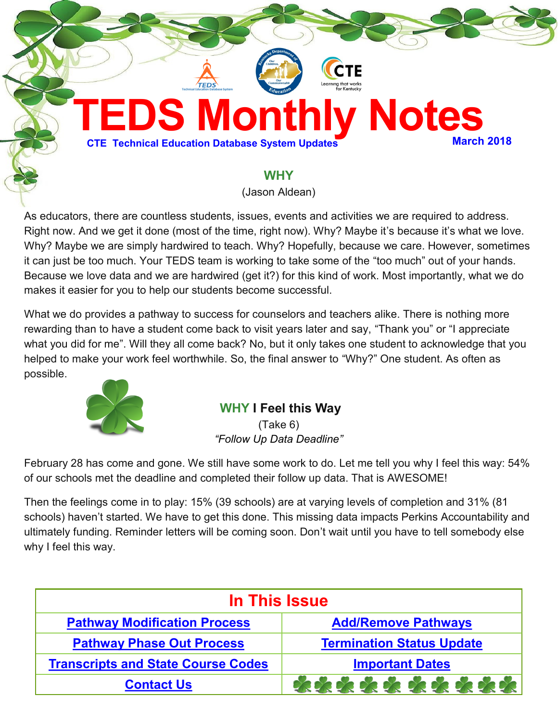

### **WHY**

(Jason Aldean)

As educators, there are countless students, issues, events and activities we are required to address. Right now. And we get it done (most of the time, right now). Why? Maybe it's because it's what we love. Why? Maybe we are simply hardwired to teach. Why? Hopefully, because we care. However, sometimes it can just be too much. Your TEDS team is working to take some of the "too much" out of your hands. Because we love data and we are hardwired (get it?) for this kind of work. Most importantly, what we do makes it easier for you to help our students become successful.

What we do provides a pathway to success for counselors and teachers alike. There is nothing more rewarding than to have a student come back to visit years later and say, "Thank you" or "I appreciate what you did for me". Will they all come back? No, but it only takes one student to acknowledge that you helped to make your work feel worthwhile. So, the final answer to "Why?" One student. As often as possible.



### **WHY I Feel this Way**

(Take 6) *"Follow Up Data Deadline"*

February 28 has come and gone. We still have some work to do. Let me tell you why I feel this way: 54% of our schools met the deadline and completed their follow up data. That is AWESOME!

Then the feelings come in to play: 15% (39 schools) are at varying levels of completion and 31% (81 schools) haven't started. We have to get this done. This missing data impacts Perkins Accountability and ultimately funding. Reminder letters will be coming soon. Don't wait until you have to tell somebody else why I feel this way.

| In This Issue                             |                                  |  |
|-------------------------------------------|----------------------------------|--|
| <b>Pathway Modification Process</b>       | <b>Add/Remove Pathways</b>       |  |
| <b>Pathway Phase Out Process</b>          | <b>Termination Status Update</b> |  |
| <b>Transcripts and State Course Codes</b> | <b>Important Dates</b>           |  |
| <b>Contact Us</b>                         | **********                       |  |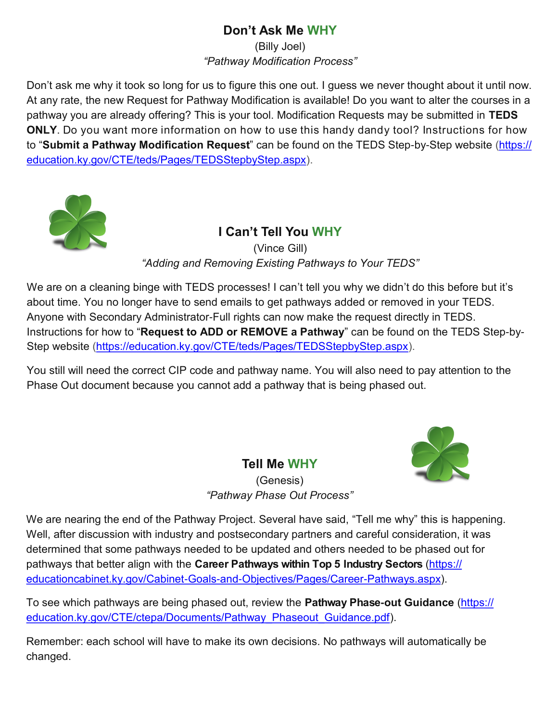# **Don't Ask Me WHY**

(Billy Joel) *"Pathway Modification Process"*

<span id="page-1-0"></span>Don't ask me why it took so long for us to figure this one out. I guess we never thought about it until now. At any rate, the new Request for Pathway Modification is available! Do you want to alter the courses in a pathway you are already offering? This is your tool. Modification Requests may be submitted in **TEDS ONLY**. Do you want more information on how to use this handy dandy tool? Instructions for how to "**Submit a Pathway Modification Request**" can be found on the TEDS Step-by-Step website ([https://](https://education.ky.gov/CTE/teds/Pages/TEDSStepbyStep.aspx) [education.ky.gov/CTE/teds/Pages/TEDSStepbyStep.aspx\)](https://education.ky.gov/CTE/teds/Pages/TEDSStepbyStep.aspx).



**I Can't Tell You WHY** (Vince Gill) *"Adding and Removing Existing Pathways to Your TEDS"*

We are on a cleaning binge with TEDS processes! I can't tell you why we didn't do this before but it's about time. You no longer have to send emails to get pathways added or removed in your TEDS. Anyone with Secondary Administrator-Full rights can now make the request directly in TEDS. Instructions for how to "**Request to ADD or REMOVE a Pathway**" can be found on the TEDS Step-by-Step website ([https://education.ky.gov/CTE/teds/Pages/TEDSStepbyStep.aspx\)](https://education.ky.gov/CTE/teds/Pages/TEDSStepbyStep.aspx).

You still will need the correct CIP code and pathway name. You will also need to pay attention to the Phase Out document because you cannot add a pathway that is being phased out.

**Tell Me WHY**



(Genesis) *"Pathway Phase Out Process"*

We are nearing the end of the Pathway Project. Several have said, "Tell me why" this is happening. Well, after discussion with industry and postsecondary partners and careful consideration, it was determined that some pathways needed to be updated and others needed to be phased out for pathways that better align with the **Career Pathways within Top 5 Industry Sectors** [\(https://](https://educationcabinet.ky.gov/Cabinet-Goals-and-Objectives/Pages/Career-Pathways.aspx) [educationcabinet.ky.gov/Cabinet-Goals-and-Objectives/Pages/Career-Pathways.aspx\).](https://educationcabinet.ky.gov/Cabinet-Goals-and-Objectives/Pages/Career-Pathways.aspx)

To see which pathways are being phased out, review the **Pathway Phase-out Guidance** ([https://](https://education.ky.gov/CTE/ctepa/Documents/Pathway_Phaseout_Guidance.pdf) [education.ky.gov/CTE/ctepa/Documents/Pathway\\_Phaseout\\_Guidance.pdf\).](https://education.ky.gov/CTE/ctepa/Documents/Pathway_Phaseout_Guidance.pdf)

Remember: each school will have to make its own decisions. No pathways will automatically be changed.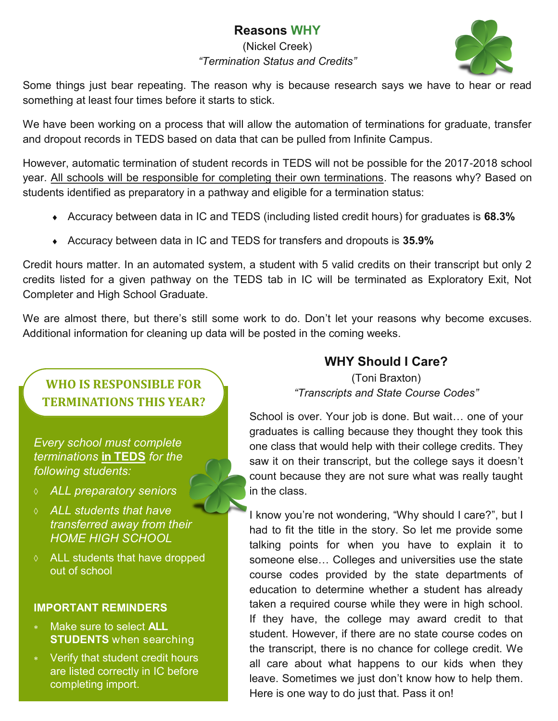# **Reasons WHY**

(Nickel Creek) *"Termination Status and Credits"*



<span id="page-2-0"></span>Some things just bear repeating. The reason why is because research says we have to hear or read something at least four times before it starts to stick.

We have been working on a process that will allow the automation of terminations for graduate, transfer and dropout records in TEDS based on data that can be pulled from Infinite Campus.

However, automatic termination of student records in TEDS will not be possible for the 2017-2018 school year. All schools will be responsible for completing their own terminations. The reasons why? Based on students identified as preparatory in a pathway and eligible for a termination status:

- Accuracy between data in IC and TEDS (including listed credit hours) for graduates is **68.3%**
- Accuracy between data in IC and TEDS for transfers and dropouts is **35.9%**

Credit hours matter. In an automated system, a student with 5 valid credits on their transcript but only 2 credits listed for a given pathway on the TEDS tab in IC will be terminated as Exploratory Exit, Not Completer and High School Graduate.

We are almost there, but there's still some work to do. Don't let your reasons why become excuses. Additional information for cleaning up data will be posted in the coming weeks.

**WHO IS RESPONSIBLE FOR TERMINATIONS THIS YEAR?**

*Every school must complete terminations* **in TEDS** *for the following students:*

- *ALL preparatory seniors*
- *ALL students that have transferred away from their HOME HIGH SCHOOL*
- ALL students that have dropped out of school

#### **IMPORTANT REMINDERS**

- Make sure to select **ALL STUDENTS** when searching
- Verify that student credit hours are listed correctly in IC before completing import.

# **WHY Should I Care?**

(Toni Braxton) *"Transcripts and State Course Codes"*

School is over. Your job is done. But wait… one of your graduates is calling because they thought they took this one class that would help with their college credits. They saw it on their transcript, but the college says it doesn't count because they are not sure what was really taught in the class.

I know you're not wondering, "Why should I care?", but I had to fit the title in the story. So let me provide some talking points for when you have to explain it to someone else… Colleges and universities use the state course codes provided by the state departments of education to determine whether a student has already taken a required course while they were in high school. If they have, the college may award credit to that student. However, if there are no state course codes on the transcript, there is no chance for college credit. We all care about what happens to our kids when they leave. Sometimes we just don't know how to help them. Here is one way to do just that. Pass it on!